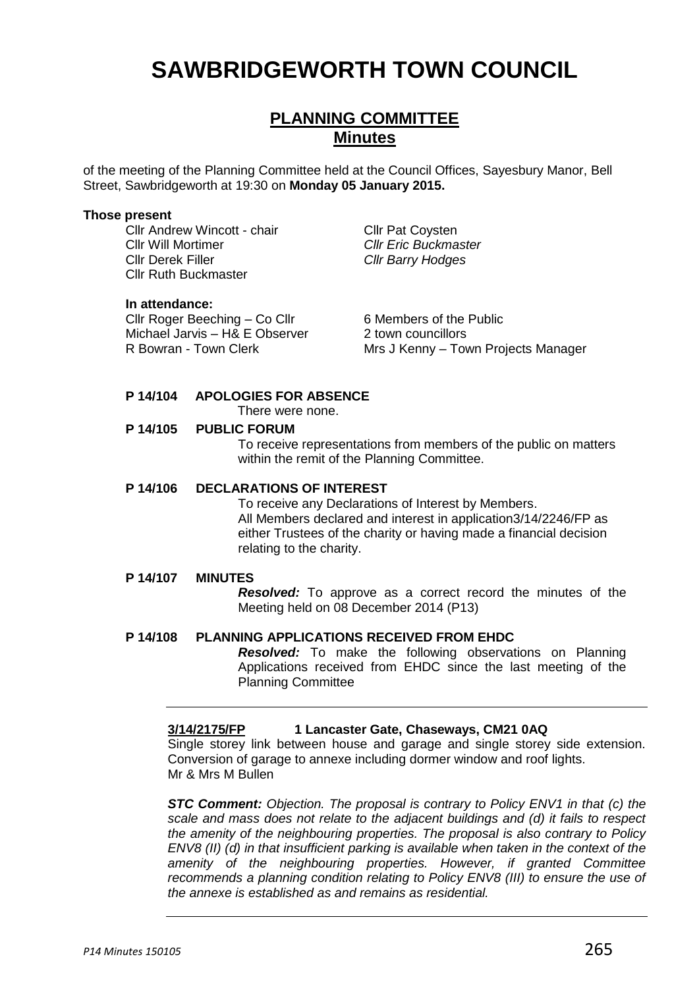# **SAWBRIDGEWORTH TOWN COUNCIL**

# **PLANNING COMMITTEE Minutes**

of the meeting of the Planning Committee held at the Council Offices, Sayesbury Manor, Bell Street, Sawbridgeworth at 19:30 on **Monday 05 January 2015.**

#### **Those present**

Cllr Andrew Wincott - chair Cllr Pat Coysten Cllr Will Mortimer *Cllr Eric Buckmaster* Cllr Derek Filler *Cllr Barry Hodges* Cllr Ruth Buckmaster

#### **In attendance:**

Cllr Roger Beeching – Co Cllr 6 Members of the Public Michael Jarvis – H& E Observer 2 town councillors

R Bowran - Town Clerk Mrs J Kenny – Town Projects Manager

## **P 14/104 APOLOGIES FOR ABSENCE**

There were none.

#### **P 14/105 PUBLIC FORUM**

To receive representations from members of the public on matters within the remit of the Planning Committee.

#### **P 14/106 DECLARATIONS OF INTEREST**

To receive any Declarations of Interest by Members. All Members declared and interest in application3/14/2246/FP as either Trustees of the charity or having made a financial decision relating to the charity.

#### **P 14/107 MINUTES**

*Resolved:* To approve as a correct record the minutes of the Meeting held on 08 December 2014 (P13)

#### **P 14/108 PLANNING APPLICATIONS RECEIVED FROM EHDC**

*Resolved:* To make the following observations on Planning Applications received from EHDC since the last meeting of the Planning Committee

## **3/14/2175/FP 1 Lancaster Gate, Chaseways, CM21 0AQ**

Single storey link between house and garage and single storey side extension. Conversion of garage to annexe including dormer window and roof lights. Mr & Mrs M Bullen

*STC Comment: Objection. The proposal is contrary to Policy ENV1 in that (c) the scale and mass does not relate to the adjacent buildings and (d) it fails to respect the amenity of the neighbouring properties. The proposal is also contrary to Policy ENV8 (II) (d) in that insufficient parking is available when taken in the context of the amenity of the neighbouring properties. However, if granted Committee recommends a planning condition relating to Policy ENV8 (III) to ensure the use of the annexe is established as and remains as residential.*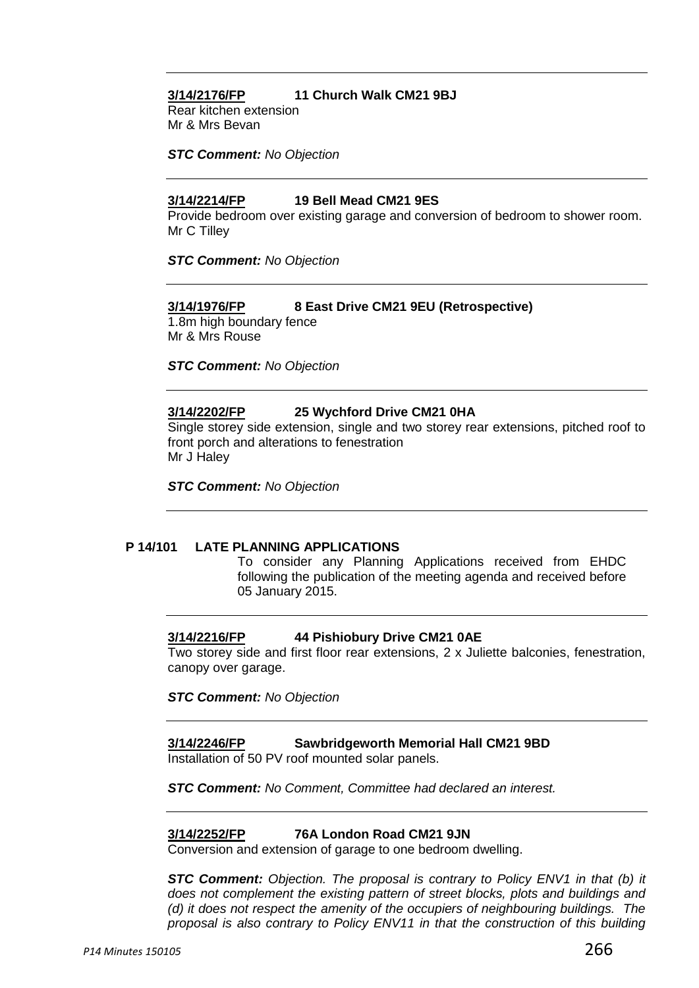## **3/14/2176/FP 11 Church Walk CM21 9BJ**

Rear kitchen extension Mr & Mrs Bevan

*STC Comment: No Objection*

### **3/14/2214/FP 19 Bell Mead CM21 9ES**

Provide bedroom over existing garage and conversion of bedroom to shower room. Mr C Tilley

*STC Comment: No Objection*

#### **3/14/1976/FP 8 East Drive CM21 9EU (Retrospective)**

1.8m high boundary fence Mr & Mrs Rouse

*STC Comment: No Objection*

## **3/14/2202/FP 25 Wychford Drive CM21 0HA**

Single storey side extension, single and two storey rear extensions, pitched roof to front porch and alterations to fenestration Mr J Haley

*STC Comment: No Objection*

#### **P 14/101 LATE PLANNING APPLICATIONS**

To consider any Planning Applications received from EHDC following the publication of the meeting agenda and received before 05 January 2015.

### **3/14/2216/FP 44 Pishiobury Drive CM21 0AE**

Two storey side and first floor rear extensions, 2 x Juliette balconies, fenestration, canopy over garage.

*STC Comment: No Objection*

## **3/14/2246/FP Sawbridgeworth Memorial Hall CM21 9BD**

Installation of 50 PV roof mounted solar panels.

*STC Comment: No Comment, Committee had declared an interest.*

### **3/14/2252/FP 76A London Road CM21 9JN**

Conversion and extension of garage to one bedroom dwelling.

*STC Comment: Objection. The proposal is contrary to Policy ENV1 in that (b) it does not complement the existing pattern of street blocks, plots and buildings and (d) it does not respect the amenity of the occupiers of neighbouring buildings. The proposal is also contrary to Policy ENV11 in that the construction of this building*